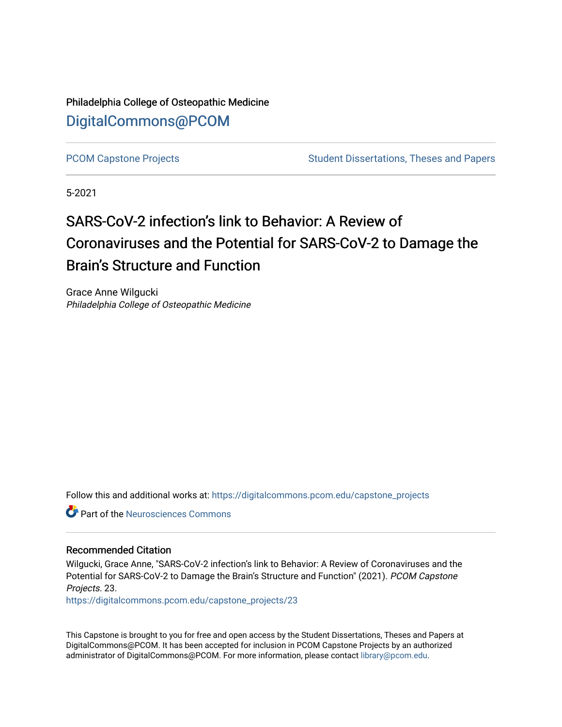Philadelphia College of Osteopathic Medicine [DigitalCommons@PCOM](https://digitalcommons.pcom.edu/) 

[PCOM Capstone Projects](https://digitalcommons.pcom.edu/capstone_projects) **Student Dissertations, Theses and Papers** Student Dissertations, Theses and Papers

5-2021

# SARS-CoV-2 infection's link to Behavior: A Review of Coronaviruses and the Potential for SARS-CoV-2 to Damage the Brain's Structure and Function

Grace Anne Wilgucki Philadelphia College of Osteopathic Medicine

Follow this and additional works at: [https://digitalcommons.pcom.edu/capstone\\_projects](https://digitalcommons.pcom.edu/capstone_projects?utm_source=digitalcommons.pcom.edu%2Fcapstone_projects%2F23&utm_medium=PDF&utm_campaign=PDFCoverPages)

**C** Part of the Neurosciences Commons

## Recommended Citation

Wilgucki, Grace Anne, "SARS-CoV-2 infection's link to Behavior: A Review of Coronaviruses and the Potential for SARS-CoV-2 to Damage the Brain's Structure and Function" (2021). PCOM Capstone Projects. 23.

[https://digitalcommons.pcom.edu/capstone\\_projects/23](https://digitalcommons.pcom.edu/capstone_projects/23?utm_source=digitalcommons.pcom.edu%2Fcapstone_projects%2F23&utm_medium=PDF&utm_campaign=PDFCoverPages) 

This Capstone is brought to you for free and open access by the Student Dissertations, Theses and Papers at DigitalCommons@PCOM. It has been accepted for inclusion in PCOM Capstone Projects by an authorized administrator of DigitalCommons@PCOM. For more information, please contact [library@pcom.edu.](mailto:library@pcom.edu)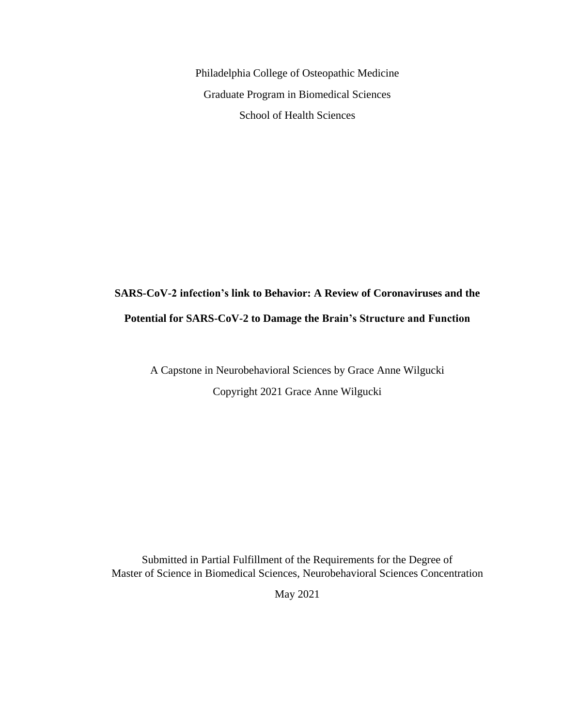Philadelphia College of Osteopathic Medicine Graduate Program in Biomedical Sciences School of Health Sciences

# **SARS-CoV-2 infection's link to Behavior: A Review of Coronaviruses and the Potential for SARS-CoV-2 to Damage the Brain's Structure and Function**

A Capstone in Neurobehavioral Sciences by Grace Anne Wilgucki Copyright 2021 Grace Anne Wilgucki

Submitted in Partial Fulfillment of the Requirements for the Degree of Master of Science in Biomedical Sciences, Neurobehavioral Sciences Concentration

May 2021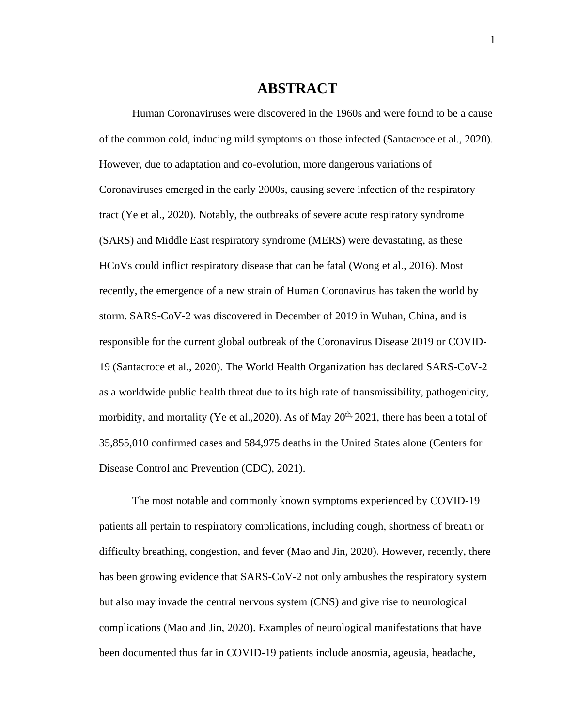# **ABSTRACT**

Human Coronaviruses were discovered in the 1960s and were found to be a cause of the common cold, inducing mild symptoms on those infected (Santacroce et al., 2020). However, due to adaptation and co-evolution, more dangerous variations of Coronaviruses emerged in the early 2000s, causing severe infection of the respiratory tract (Ye et al., 2020). Notably, the outbreaks of severe acute respiratory syndrome (SARS) and Middle East respiratory syndrome (MERS) were devastating, as these HCoVs could inflict respiratory disease that can be fatal (Wong et al., 2016). Most recently, the emergence of a new strain of Human Coronavirus has taken the world by storm. SARS-CoV-2 was discovered in December of 2019 in Wuhan, China, and is responsible for the current global outbreak of the Coronavirus Disease 2019 or COVID-19 (Santacroce et al., 2020). The World Health Organization has declared SARS-CoV-2 as a worldwide public health threat due to its high rate of transmissibility, pathogenicity, morbidity, and mortality (Ye et al., 2020). As of May  $20^{th}$ , 2021, there has been a total of 35,855,010 confirmed cases and 584,975 deaths in the United States alone (Centers for Disease Control and Prevention (CDC), 2021).

The most notable and commonly known symptoms experienced by COVID-19 patients all pertain to respiratory complications, including cough, shortness of breath or difficulty breathing, congestion, and fever (Mao and Jin, 2020). However, recently, there has been growing evidence that SARS-CoV-2 not only ambushes the respiratory system but also may invade the central nervous system (CNS) and give rise to neurological complications (Mao and Jin, 2020). Examples of neurological manifestations that have been documented thus far in COVID-19 patients include anosmia, ageusia, headache,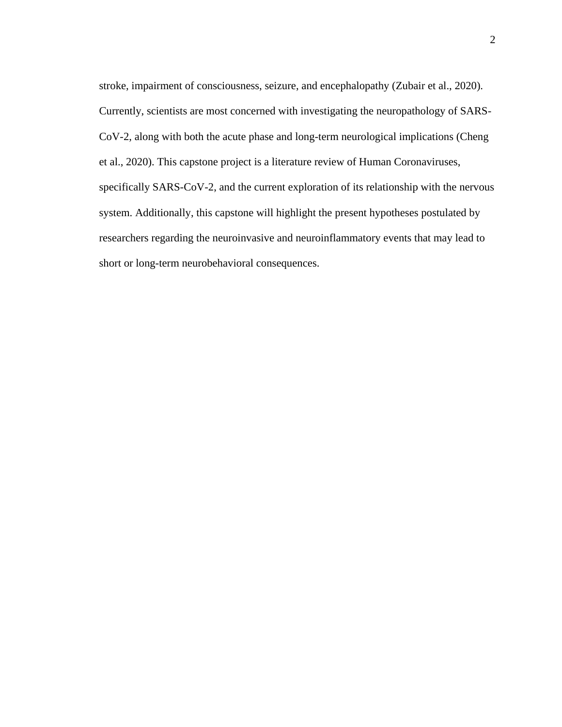stroke, impairment of consciousness, seizure, and encephalopathy (Zubair et al., 2020). Currently, scientists are most concerned with investigating the neuropathology of SARS-CoV-2, along with both the acute phase and long-term neurological implications (Cheng et al., 2020). This capstone project is a literature review of Human Coronaviruses, specifically SARS-CoV-2, and the current exploration of its relationship with the nervous system. Additionally, this capstone will highlight the present hypotheses postulated by researchers regarding the neuroinvasive and neuroinflammatory events that may lead to short or long-term neurobehavioral consequences.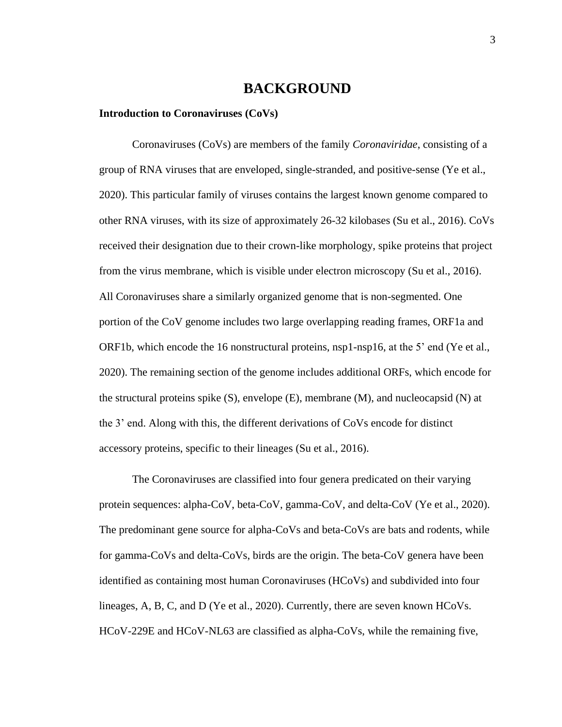# **BACKGROUND**

#### **Introduction to Coronaviruses (CoVs)**

Coronaviruses (CoVs) are members of the family *Coronaviridae*, consisting of a group of RNA viruses that are enveloped, single-stranded, and positive-sense (Ye et al., 2020). This particular family of viruses contains the largest known genome compared to other RNA viruses, with its size of approximately 26-32 kilobases (Su et al., 2016). CoVs received their designation due to their crown-like morphology, spike proteins that project from the virus membrane, which is visible under electron microscopy (Su et al., 2016). All Coronaviruses share a similarly organized genome that is non-segmented. One portion of the CoV genome includes two large overlapping reading frames, ORF1a and ORF1b, which encode the 16 nonstructural proteins, nsp1-nsp16, at the 5' end (Ye et al., 2020). The remaining section of the genome includes additional ORFs, which encode for the structural proteins spike  $(S)$ , envelope  $(E)$ , membrane  $(M)$ , and nucleocapsid  $(N)$  at the 3' end. Along with this, the different derivations of CoVs encode for distinct accessory proteins, specific to their lineages (Su et al., 2016).

The Coronaviruses are classified into four genera predicated on their varying protein sequences: alpha-CoV, beta-CoV, gamma-CoV, and delta-CoV (Ye et al., 2020). The predominant gene source for alpha-CoVs and beta-CoVs are bats and rodents, while for gamma-CoVs and delta-CoVs, birds are the origin. The beta-CoV genera have been identified as containing most human Coronaviruses (HCoVs) and subdivided into four lineages, A, B, C, and D (Ye et al., 2020). Currently, there are seven known HCoVs. HCoV-229E and HCoV-NL63 are classified as alpha-CoVs, while the remaining five,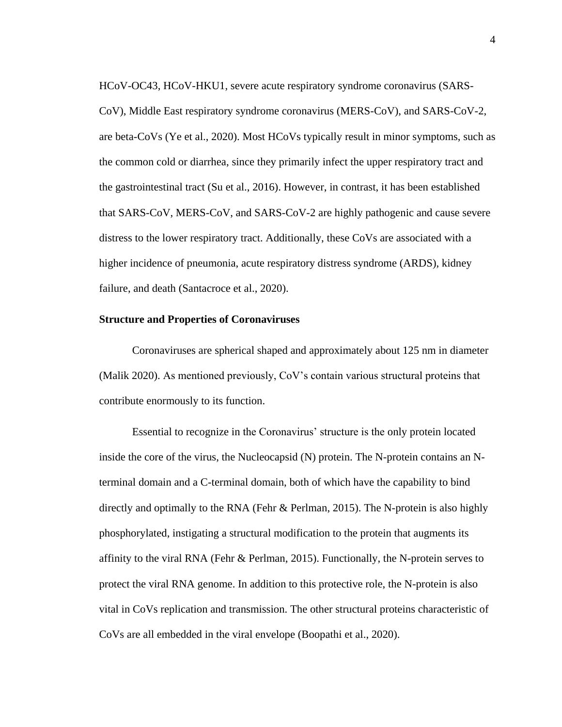HCoV-OC43, HCoV-HKU1, severe acute respiratory syndrome coronavirus (SARS-CoV), Middle East respiratory syndrome coronavirus (MERS-CoV), and SARS-CoV-2, are beta-CoVs (Ye et al., 2020). Most HCoVs typically result in minor symptoms, such as the common cold or diarrhea, since they primarily infect the upper respiratory tract and the gastrointestinal tract (Su et al., 2016). However, in contrast, it has been established that SARS-CoV, MERS-CoV, and SARS-CoV-2 are highly pathogenic and cause severe distress to the lower respiratory tract. Additionally, these CoVs are associated with a higher incidence of pneumonia, acute respiratory distress syndrome (ARDS), kidney failure, and death (Santacroce et al., 2020).

#### **Structure and Properties of Coronaviruses**

Coronaviruses are spherical shaped and approximately about 125 nm in diameter (Malik 2020). As mentioned previously, CoV's contain various structural proteins that contribute enormously to its function.

Essential to recognize in the Coronavirus' structure is the only protein located inside the core of the virus, the Nucleocapsid (N) protein. The N-protein contains an Nterminal domain and a C-terminal domain, both of which have the capability to bind directly and optimally to the RNA (Fehr & Perlman, 2015). The N-protein is also highly phosphorylated, instigating a structural modification to the protein that augments its affinity to the viral RNA (Fehr & Perlman, 2015). Functionally, the N-protein serves to protect the viral RNA genome. In addition to this protective role, the N-protein is also vital in CoVs replication and transmission. The other structural proteins characteristic of CoVs are all embedded in the viral envelope (Boopathi et al., 2020).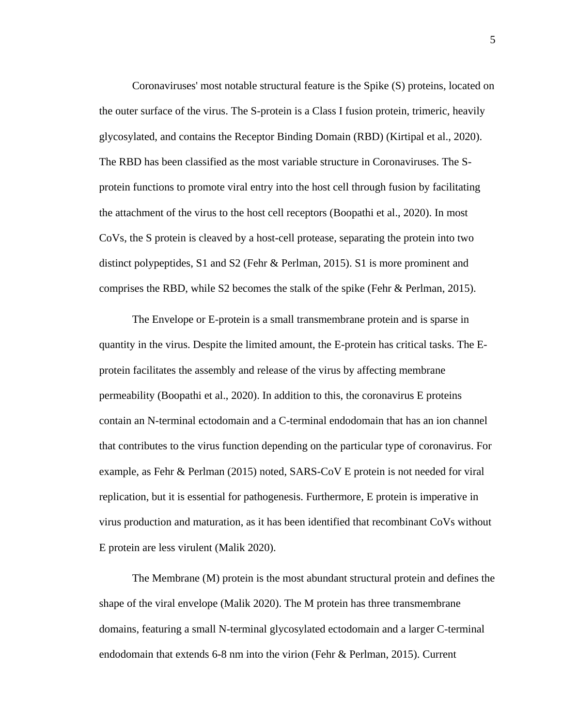Coronaviruses' most notable structural feature is the Spike (S) proteins, located on the outer surface of the virus. The S-protein is a Class I fusion protein, trimeric, heavily glycosylated, and contains the Receptor Binding Domain (RBD) (Kirtipal et al., 2020). The RBD has been classified as the most variable structure in Coronaviruses. The Sprotein functions to promote viral entry into the host cell through fusion by facilitating the attachment of the virus to the host cell receptors (Boopathi et al., 2020). In most CoVs, the S protein is cleaved by a host-cell protease, separating the protein into two distinct polypeptides, S1 and S2 (Fehr & Perlman, 2015). S1 is more prominent and comprises the RBD, while S2 becomes the stalk of the spike (Fehr & Perlman, 2015).

The Envelope or E-protein is a small transmembrane protein and is sparse in quantity in the virus. Despite the limited amount, the E-protein has critical tasks. The Eprotein facilitates the assembly and release of the virus by affecting membrane permeability (Boopathi et al., 2020). In addition to this, the coronavirus E proteins contain an N-terminal ectodomain and a C-terminal endodomain that has an ion channel that contributes to the virus function depending on the particular type of coronavirus. For example, as Fehr & Perlman (2015) noted, SARS-CoV E protein is not needed for viral replication, but it is essential for pathogenesis. Furthermore, E protein is imperative in virus production and maturation, as it has been identified that recombinant CoVs without E protein are less virulent (Malik 2020).

The Membrane (M) protein is the most abundant structural protein and defines the shape of the viral envelope (Malik 2020). The M protein has three transmembrane domains, featuring a small N-terminal glycosylated ectodomain and a larger C-terminal endodomain that extends 6-8 nm into the virion (Fehr & Perlman, 2015). Current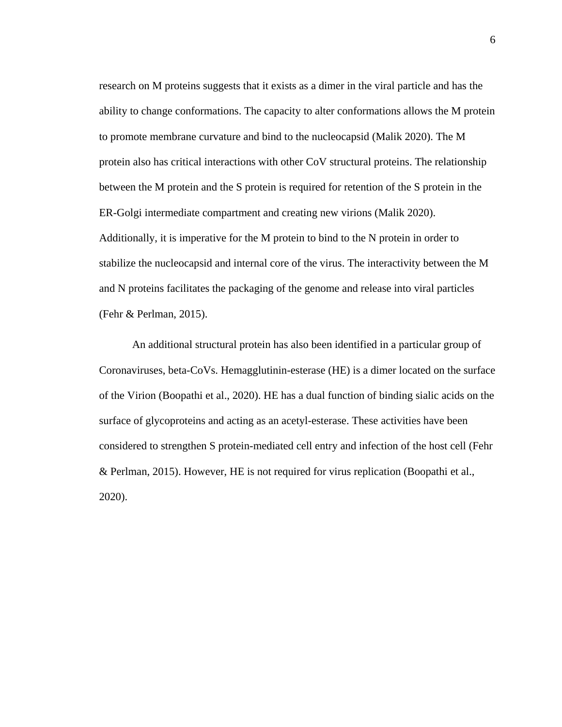research on M proteins suggests that it exists as a dimer in the viral particle and has the ability to change conformations. The capacity to alter conformations allows the M protein to promote membrane curvature and bind to the nucleocapsid (Malik 2020). The M protein also has critical interactions with other CoV structural proteins. The relationship between the M protein and the S protein is required for retention of the S protein in the ER-Golgi intermediate compartment and creating new virions (Malik 2020). Additionally, it is imperative for the M protein to bind to the N protein in order to stabilize the nucleocapsid and internal core of the virus. The interactivity between the M and N proteins facilitates the packaging of the genome and release into viral particles (Fehr & Perlman, 2015).

An additional structural protein has also been identified in a particular group of Coronaviruses, beta-CoVs. Hemagglutinin-esterase (HE) is a dimer located on the surface of the Virion (Boopathi et al., 2020). HE has a dual function of binding sialic acids on the surface of glycoproteins and acting as an acetyl-esterase. These activities have been considered to strengthen S protein-mediated cell entry and infection of the host cell (Fehr & Perlman, 2015). However, HE is not required for virus replication (Boopathi et al., 2020).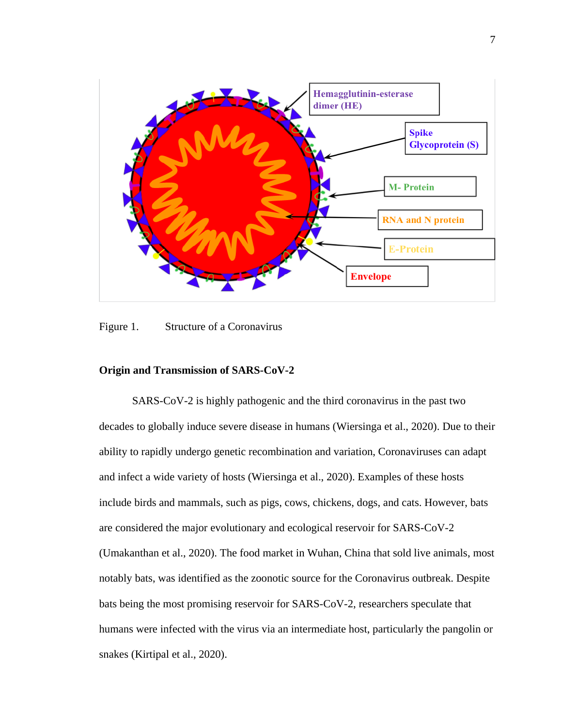

Figure 1. Structure of a Coronavirus

## **Origin and Transmission of SARS-CoV-2**

SARS-CoV-2 is highly pathogenic and the third coronavirus in the past two decades to globally induce severe disease in humans (Wiersinga et al., 2020). Due to their ability to rapidly undergo genetic recombination and variation, Coronaviruses can adapt and infect a wide variety of hosts (Wiersinga et al., 2020). Examples of these hosts include birds and mammals, such as pigs, cows, chickens, dogs, and cats. However, bats are considered the major evolutionary and ecological reservoir for SARS-CoV-2 (Umakanthan et al., 2020). The food market in Wuhan, China that sold live animals, most notably bats, was identified as the zoonotic source for the Coronavirus outbreak. Despite bats being the most promising reservoir for SARS-CoV-2, researchers speculate that humans were infected with the virus via an intermediate host, particularly the pangolin or snakes (Kirtipal et al., 2020).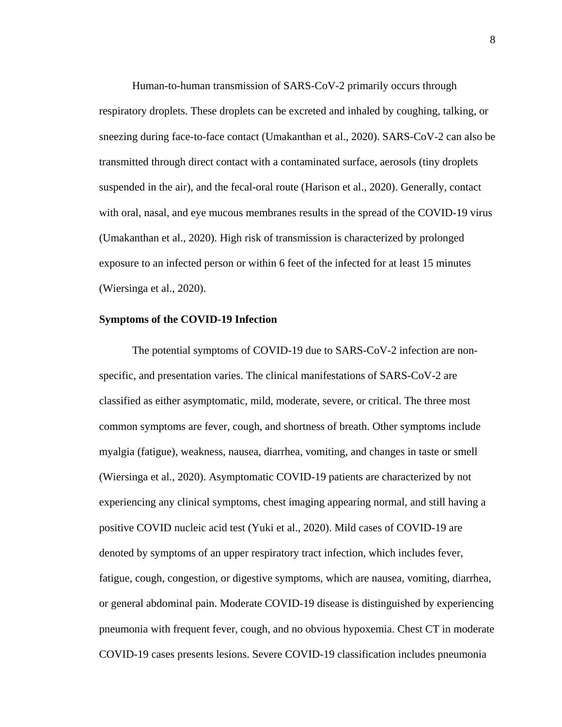Human-to-human transmission of SARS-CoV-2 primarily occurs through respiratory droplets. These droplets can be excreted and inhaled by coughing, talking, or sneezing during face-to-face contact (Umakanthan et al., 2020). SARS-CoV-2 can also be transmitted through direct contact with a contaminated surface, aerosols (tiny droplets suspended in the air), and the fecal-oral route (Harison et al., 2020). Generally, contact with oral, nasal, and eye mucous membranes results in the spread of the COVID-19 virus (Umakanthan et al., 2020). High risk of transmission is characterized by prolonged exposure to an infected person or within 6 feet of the infected for at least 15 minutes (Wiersinga et al., 2020).

#### **Symptoms of the COVID-19 Infection**

The potential symptoms of COVID-19 due to SARS-CoV-2 infection are nonspecific, and presentation varies. The clinical manifestations of SARS-CoV-2 are classified as either asymptomatic, mild, moderate, severe, or critical. The three most common symptoms are fever, cough, and shortness of breath. Other symptoms include myalgia (fatigue), weakness, nausea, diarrhea, vomiting, and changes in taste or smell (Wiersinga et al., 2020). Asymptomatic COVID-19 patients are characterized by not experiencing any clinical symptoms, chest imaging appearing normal, and still having a positive COVID nucleic acid test (Yuki et al., 2020). Mild cases of COVID-19 are denoted by symptoms of an upper respiratory tract infection, which includes fever, fatigue, cough, congestion, or digestive symptoms, which are nausea, vomiting, diarrhea, or general abdominal pain. Moderate COVID-19 disease is distinguished by experiencing pneumonia with frequent fever, cough, and no obvious hypoxemia. Chest CT in moderate COVID-19 cases presents lesions. Severe COVID-19 classification includes pneumonia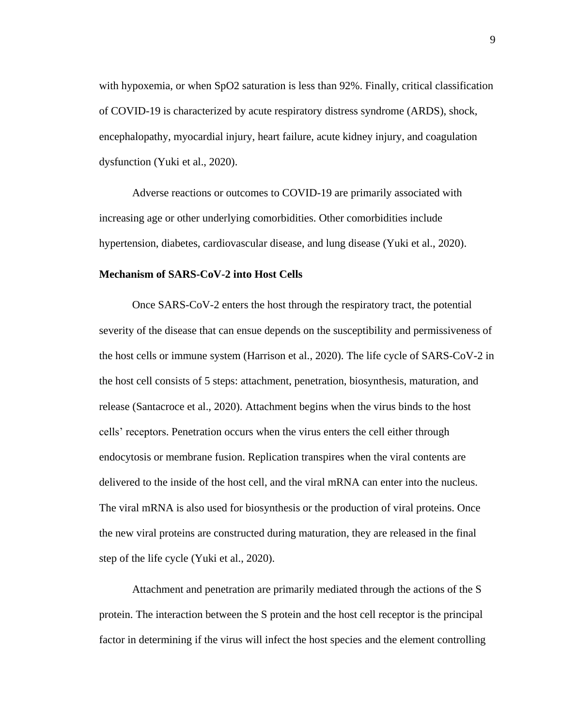with hypoxemia, or when SpO2 saturation is less than 92%. Finally, critical classification of COVID-19 is characterized by acute respiratory distress syndrome (ARDS), shock, encephalopathy, myocardial injury, heart failure, acute kidney injury, and coagulation dysfunction (Yuki et al., 2020).

Adverse reactions or outcomes to COVID-19 are primarily associated with increasing age or other underlying comorbidities. Other comorbidities include hypertension, diabetes, cardiovascular disease, and lung disease (Yuki et al., 2020).

## **Mechanism of SARS-CoV-2 into Host Cells**

Once SARS-CoV-2 enters the host through the respiratory tract, the potential severity of the disease that can ensue depends on the susceptibility and permissiveness of the host cells or immune system (Harrison et al., 2020). The life cycle of SARS-CoV-2 in the host cell consists of 5 steps: attachment, penetration, biosynthesis, maturation, and release (Santacroce et al., 2020). Attachment begins when the virus binds to the host cells' receptors. Penetration occurs when the virus enters the cell either through endocytosis or membrane fusion. Replication transpires when the viral contents are delivered to the inside of the host cell, and the viral mRNA can enter into the nucleus. The viral mRNA is also used for biosynthesis or the production of viral proteins. Once the new viral proteins are constructed during maturation, they are released in the final step of the life cycle (Yuki et al., 2020).

Attachment and penetration are primarily mediated through the actions of the S protein. The interaction between the S protein and the host cell receptor is the principal factor in determining if the virus will infect the host species and the element controlling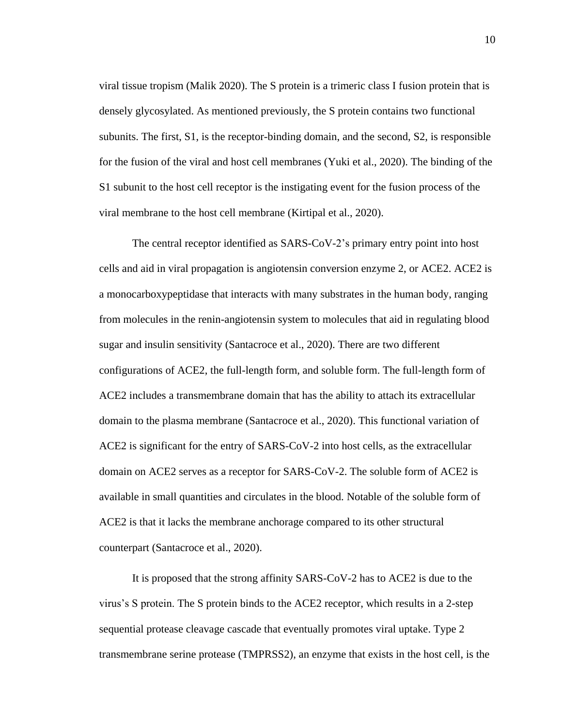viral tissue tropism (Malik 2020). The S protein is a trimeric class I fusion protein that is densely glycosylated. As mentioned previously, the S protein contains two functional subunits. The first, S1, is the receptor-binding domain, and the second, S2, is responsible for the fusion of the viral and host cell membranes (Yuki et al., 2020). The binding of the S1 subunit to the host cell receptor is the instigating event for the fusion process of the viral membrane to the host cell membrane (Kirtipal et al., 2020).

The central receptor identified as SARS-CoV-2's primary entry point into host cells and aid in viral propagation is angiotensin conversion enzyme 2, or ACE2. ACE2 is a monocarboxypeptidase that interacts with many substrates in the human body, ranging from molecules in the renin-angiotensin system to molecules that aid in regulating blood sugar and insulin sensitivity (Santacroce et al., 2020). There are two different configurations of ACE2, the full-length form, and soluble form. The full-length form of ACE2 includes a transmembrane domain that has the ability to attach its extracellular domain to the plasma membrane (Santacroce et al., 2020). This functional variation of ACE2 is significant for the entry of SARS-CoV-2 into host cells, as the extracellular domain on ACE2 serves as a receptor for SARS-CoV-2. The soluble form of ACE2 is available in small quantities and circulates in the blood. Notable of the soluble form of ACE2 is that it lacks the membrane anchorage compared to its other structural counterpart (Santacroce et al., 2020).

It is proposed that the strong affinity SARS-CoV-2 has to ACE2 is due to the virus's S protein. The S protein binds to the ACE2 receptor, which results in a 2-step sequential protease cleavage cascade that eventually promotes viral uptake. Type 2 transmembrane serine protease (TMPRSS2), an enzyme that exists in the host cell, is the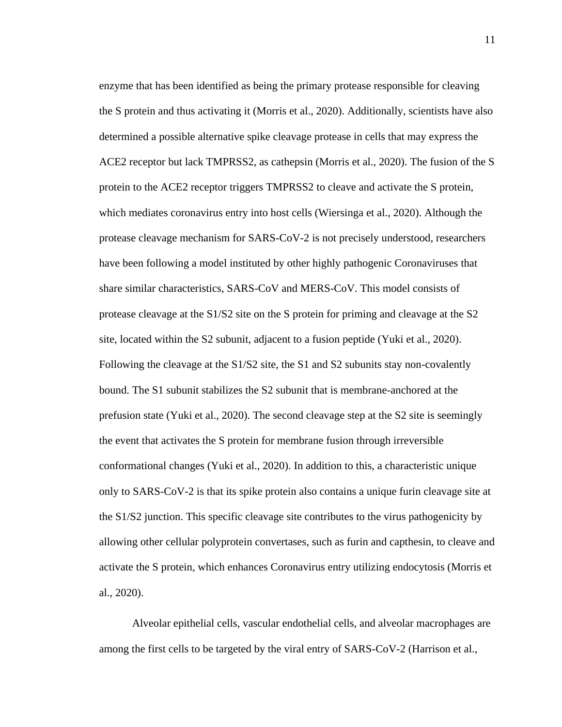enzyme that has been identified as being the primary protease responsible for cleaving the S protein and thus activating it (Morris et al., 2020). Additionally, scientists have also determined a possible alternative spike cleavage protease in cells that may express the ACE2 receptor but lack TMPRSS2, as cathepsin (Morris et al., 2020). The fusion of the S protein to the ACE2 receptor triggers TMPRSS2 to cleave and activate the S protein, which mediates coronavirus entry into host cells (Wiersinga et al., 2020). Although the protease cleavage mechanism for SARS-CoV-2 is not precisely understood, researchers have been following a model instituted by other highly pathogenic Coronaviruses that share similar characteristics, SARS-CoV and MERS-CoV. This model consists of protease cleavage at the S1/S2 site on the S protein for priming and cleavage at the S2 site, located within the S2 subunit, adjacent to a fusion peptide (Yuki et al., 2020). Following the cleavage at the S1/S2 site, the S1 and S2 subunits stay non-covalently bound. The S1 subunit stabilizes the S2 subunit that is membrane-anchored at the prefusion state (Yuki et al., 2020). The second cleavage step at the S2 site is seemingly the event that activates the S protein for membrane fusion through irreversible conformational changes (Yuki et al., 2020). In addition to this, a characteristic unique only to SARS-CoV-2 is that its spike protein also contains a unique furin cleavage site at the S1/S2 junction. This specific cleavage site contributes to the virus pathogenicity by allowing other cellular polyprotein convertases, such as furin and capthesin, to cleave and activate the S protein, which enhances Coronavirus entry utilizing endocytosis (Morris et al., 2020).

Alveolar epithelial cells, vascular endothelial cells, and alveolar macrophages are among the first cells to be targeted by the viral entry of SARS-CoV-2 (Harrison et al.,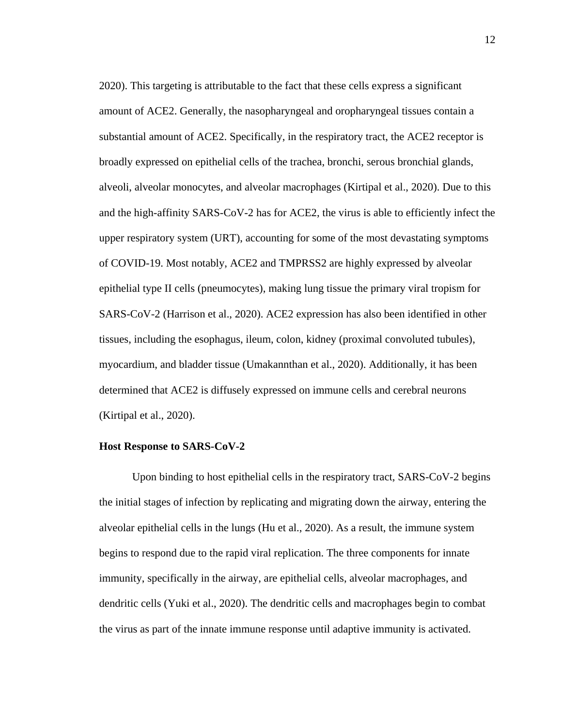2020). This targeting is attributable to the fact that these cells express a significant amount of ACE2. Generally, the nasopharyngeal and oropharyngeal tissues contain a substantial amount of ACE2. Specifically, in the respiratory tract, the ACE2 receptor is broadly expressed on epithelial cells of the trachea, bronchi, serous bronchial glands, alveoli, alveolar monocytes, and alveolar macrophages (Kirtipal et al., 2020). Due to this and the high-affinity SARS-CoV-2 has for ACE2, the virus is able to efficiently infect the upper respiratory system (URT), accounting for some of the most devastating symptoms of COVID-19. Most notably, ACE2 and TMPRSS2 are highly expressed by alveolar epithelial type II cells (pneumocytes), making lung tissue the primary viral tropism for SARS-CoV-2 (Harrison et al., 2020). ACE2 expression has also been identified in other tissues, including the esophagus, ileum, colon, kidney (proximal convoluted tubules), myocardium, and bladder tissue (Umakannthan et al., 2020). Additionally, it has been determined that ACE2 is diffusely expressed on immune cells and cerebral neurons (Kirtipal et al., 2020).

#### **Host Response to SARS-CoV-2**

Upon binding to host epithelial cells in the respiratory tract, SARS-CoV-2 begins the initial stages of infection by replicating and migrating down the airway, entering the alveolar epithelial cells in the lungs (Hu et al., 2020). As a result, the immune system begins to respond due to the rapid viral replication. The three components for innate immunity, specifically in the airway, are epithelial cells, alveolar macrophages, and dendritic cells (Yuki et al., 2020). The dendritic cells and macrophages begin to combat the virus as part of the innate immune response until adaptive immunity is activated.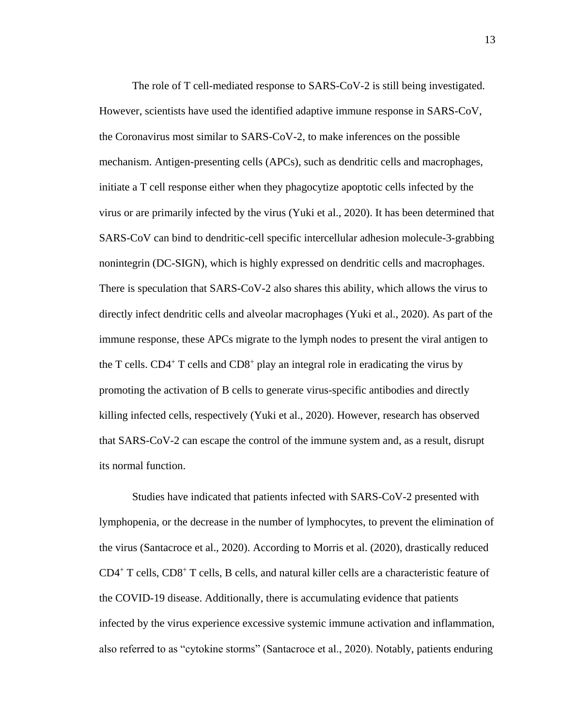The role of T cell-mediated response to SARS-CoV-2 is still being investigated. However, scientists have used the identified adaptive immune response in SARS-CoV, the Coronavirus most similar to SARS-CoV-2, to make inferences on the possible mechanism. Antigen-presenting cells (APCs), such as dendritic cells and macrophages, initiate a T cell response either when they phagocytize apoptotic cells infected by the virus or are primarily infected by the virus (Yuki et al., 2020). It has been determined that SARS-CoV can bind to dendritic-cell specific intercellular adhesion molecule-3-grabbing nonintegrin (DC-SIGN), which is highly expressed on dendritic cells and macrophages. There is speculation that SARS-CoV-2 also shares this ability, which allows the virus to directly infect dendritic cells and alveolar macrophages (Yuki et al., 2020). As part of the immune response, these APCs migrate to the lymph nodes to present the viral antigen to the T cells.  $CD4^+$  T cells and  $CD8^+$  play an integral role in eradicating the virus by promoting the activation of B cells to generate virus-specific antibodies and directly killing infected cells, respectively (Yuki et al., 2020). However, research has observed that SARS-CoV-2 can escape the control of the immune system and, as a result, disrupt its normal function.

Studies have indicated that patients infected with SARS-CoV-2 presented with lymphopenia, or the decrease in the number of lymphocytes, to prevent the elimination of the virus (Santacroce et al., 2020). According to Morris et al. (2020), drastically reduced  $CD4^+$  T cells,  $CD8^+$  T cells, B cells, and natural killer cells are a characteristic feature of the COVID-19 disease. Additionally, there is accumulating evidence that patients infected by the virus experience excessive systemic immune activation and inflammation, also referred to as "cytokine storms" (Santacroce et al., 2020). Notably, patients enduring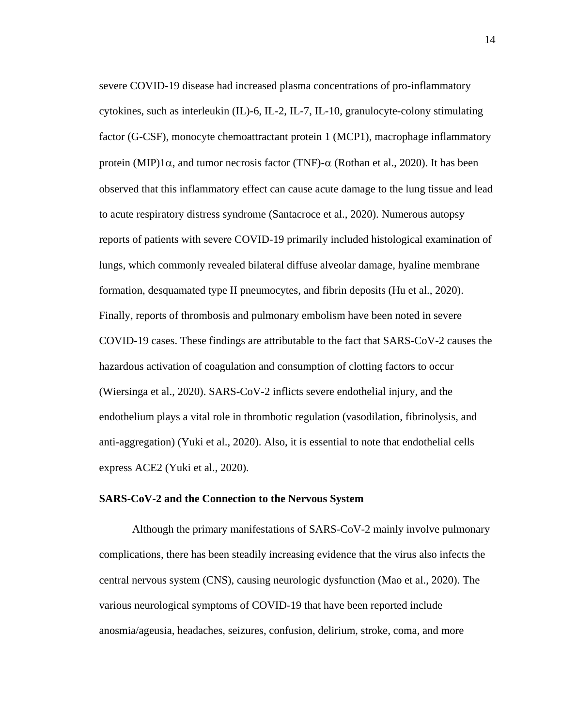severe COVID-19 disease had increased plasma concentrations of pro-inflammatory cytokines, such as interleukin (IL)-6, IL-2, IL-7, IL-10, granulocyte-colony stimulating factor (G-CSF), monocyte chemoattractant protein 1 (MCP1), macrophage inflammatory protein (MIP)1 $\alpha$ , and tumor necrosis factor (TNF)- $\alpha$  (Rothan et al., 2020). It has been observed that this inflammatory effect can cause acute damage to the lung tissue and lead to acute respiratory distress syndrome (Santacroce et al., 2020). Numerous autopsy reports of patients with severe COVID-19 primarily included histological examination of lungs, which commonly revealed bilateral diffuse alveolar damage, hyaline membrane formation, desquamated type II pneumocytes, and fibrin deposits (Hu et al., 2020). Finally, reports of thrombosis and pulmonary embolism have been noted in severe COVID-19 cases. These findings are attributable to the fact that SARS-CoV-2 causes the hazardous activation of coagulation and consumption of clotting factors to occur (Wiersinga et al., 2020). SARS-CoV-2 inflicts severe endothelial injury, and the endothelium plays a vital role in thrombotic regulation (vasodilation, fibrinolysis, and anti-aggregation) (Yuki et al., 2020). Also, it is essential to note that endothelial cells express ACE2 (Yuki et al., 2020).

#### **SARS-CoV-2 and the Connection to the Nervous System**

Although the primary manifestations of SARS-CoV-2 mainly involve pulmonary complications, there has been steadily increasing evidence that the virus also infects the central nervous system (CNS), causing neurologic dysfunction (Mao et al., 2020). The various neurological symptoms of COVID-19 that have been reported include anosmia/ageusia, headaches, seizures, confusion, delirium, stroke, coma, and more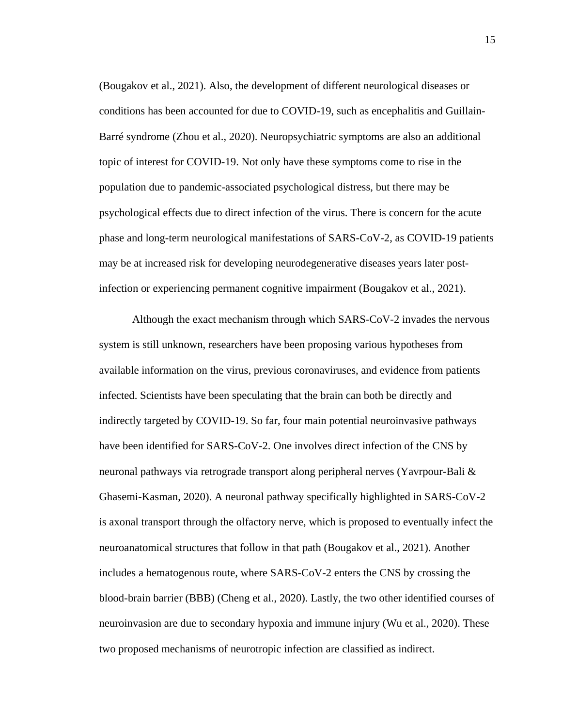(Bougakov et al., 2021). Also, the development of different neurological diseases or conditions has been accounted for due to COVID-19, such as encephalitis and Guillain-Barré syndrome (Zhou et al., 2020). Neuropsychiatric symptoms are also an additional topic of interest for COVID-19. Not only have these symptoms come to rise in the population due to pandemic-associated psychological distress, but there may be psychological effects due to direct infection of the virus. There is concern for the acute phase and long-term neurological manifestations of SARS-CoV-2, as COVID-19 patients may be at increased risk for developing neurodegenerative diseases years later postinfection or experiencing permanent cognitive impairment (Bougakov et al., 2021).

 Although the exact mechanism through which SARS-CoV-2 invades the nervous system is still unknown, researchers have been proposing various hypotheses from available information on the virus, previous coronaviruses, and evidence from patients infected. Scientists have been speculating that the brain can both be directly and indirectly targeted by COVID-19. So far, four main potential neuroinvasive pathways have been identified for SARS-CoV-2. One involves direct infection of the CNS by neuronal pathways via retrograde transport along peripheral nerves (Yavrpour-Bali & Ghasemi-Kasman, 2020). A neuronal pathway specifically highlighted in SARS-CoV-2 is axonal transport through the olfactory nerve, which is proposed to eventually infect the neuroanatomical structures that follow in that path (Bougakov et al., 2021). Another includes a hematogenous route, where SARS-CoV-2 enters the CNS by crossing the blood-brain barrier (BBB) (Cheng et al., 2020). Lastly, the two other identified courses of neuroinvasion are due to secondary hypoxia and immune injury (Wu et al., 2020). These two proposed mechanisms of neurotropic infection are classified as indirect.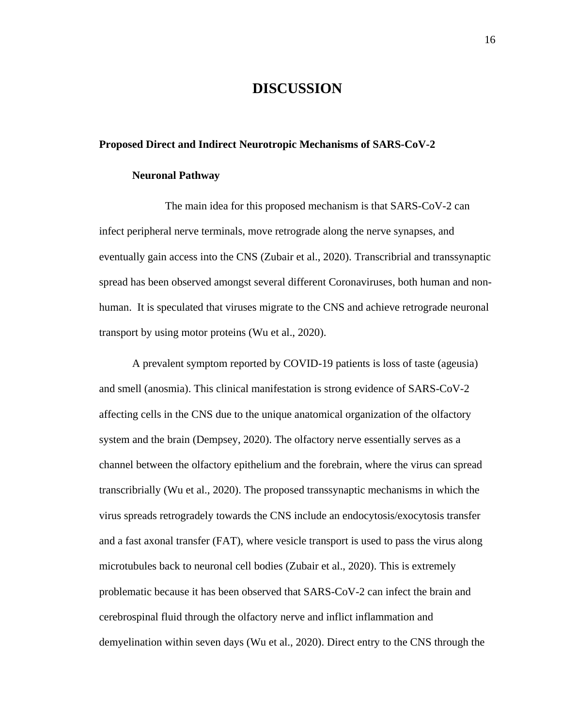# **DISCUSSION**

#### **Proposed Direct and Indirect Neurotropic Mechanisms of SARS-CoV-2**

#### **Neuronal Pathway**

The main idea for this proposed mechanism is that SARS-CoV-2 can infect peripheral nerve terminals, move retrograde along the nerve synapses, and eventually gain access into the CNS (Zubair et al., 2020). Transcribrial and transsynaptic spread has been observed amongst several different Coronaviruses, both human and nonhuman. It is speculated that viruses migrate to the CNS and achieve retrograde neuronal transport by using motor proteins (Wu et al., 2020).

A prevalent symptom reported by COVID-19 patients is loss of taste (ageusia) and smell (anosmia). This clinical manifestation is strong evidence of SARS-CoV-2 affecting cells in the CNS due to the unique anatomical organization of the olfactory system and the brain (Dempsey, 2020). The olfactory nerve essentially serves as a channel between the olfactory epithelium and the forebrain, where the virus can spread transcribrially (Wu et al., 2020). The proposed transsynaptic mechanisms in which the virus spreads retrogradely towards the CNS include an endocytosis/exocytosis transfer and a fast axonal transfer (FAT), where vesicle transport is used to pass the virus along microtubules back to neuronal cell bodies (Zubair et al., 2020). This is extremely problematic because it has been observed that SARS-CoV-2 can infect the brain and cerebrospinal fluid through the olfactory nerve and inflict inflammation and demyelination within seven days (Wu et al., 2020). Direct entry to the CNS through the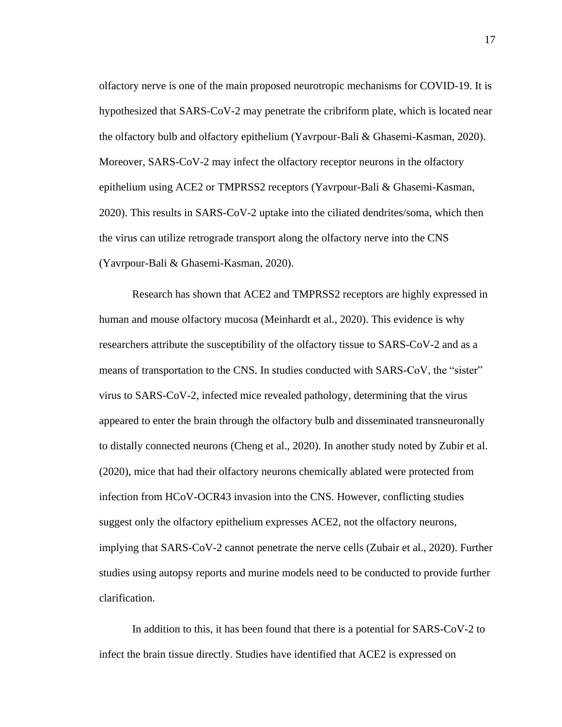olfactory nerve is one of the main proposed neurotropic mechanisms for COVID-19. It is hypothesized that SARS-CoV-2 may penetrate the cribriform plate, which is located near the olfactory bulb and olfactory epithelium (Yavrpour-Bali & Ghasemi-Kasman, 2020). Moreover, SARS-CoV-2 may infect the olfactory receptor neurons in the olfactory epithelium using ACE2 or TMPRSS2 receptors (Yavrpour-Bali & Ghasemi-Kasman, 2020). This results in SARS-CoV-2 uptake into the ciliated dendrites/soma, which then the virus can utilize retrograde transport along the olfactory nerve into the CNS (Yavrpour-Bali & Ghasemi-Kasman, 2020).

Research has shown that ACE2 and TMPRSS2 receptors are highly expressed in human and mouse olfactory mucosa (Meinhardt et al., 2020). This evidence is why researchers attribute the susceptibility of the olfactory tissue to SARS-CoV-2 and as a means of transportation to the CNS. In studies conducted with SARS-CoV, the "sister" virus to SARS-CoV-2, infected mice revealed pathology, determining that the virus appeared to enter the brain through the olfactory bulb and disseminated transneuronally to distally connected neurons (Cheng et al., 2020). In another study noted by Zubir et al. (2020), mice that had their olfactory neurons chemically ablated were protected from infection from HCoV-OCR43 invasion into the CNS. However, conflicting studies suggest only the olfactory epithelium expresses ACE2, not the olfactory neurons, implying that SARS-CoV-2 cannot penetrate the nerve cells (Zubair et al., 2020). Further studies using autopsy reports and murine models need to be conducted to provide further clarification.

In addition to this, it has been found that there is a potential for SARS-CoV-2 to infect the brain tissue directly. Studies have identified that ACE2 is expressed on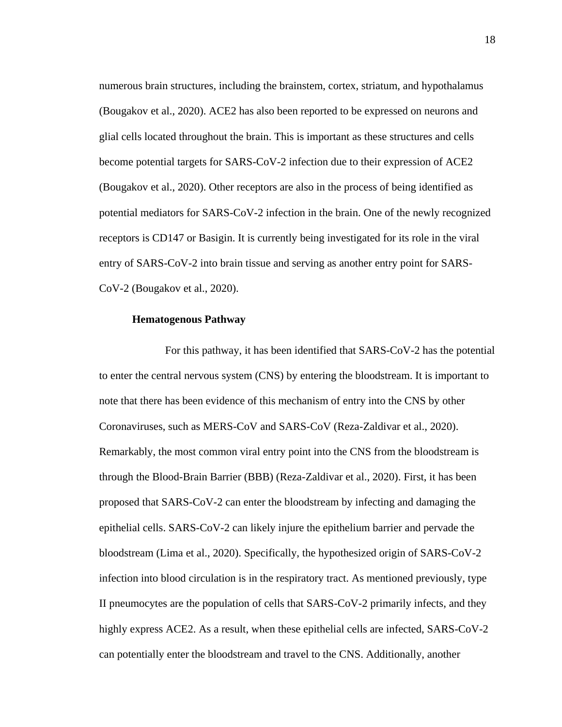numerous brain structures, including the brainstem, cortex, striatum, and hypothalamus (Bougakov et al., 2020). ACE2 has also been reported to be expressed on neurons and glial cells located throughout the brain. This is important as these structures and cells become potential targets for SARS-CoV-2 infection due to their expression of ACE2 (Bougakov et al., 2020). Other receptors are also in the process of being identified as potential mediators for SARS-CoV-2 infection in the brain. One of the newly recognized receptors is CD147 or Basigin. It is currently being investigated for its role in the viral entry of SARS-CoV-2 into brain tissue and serving as another entry point for SARS-CoV-2 (Bougakov et al., 2020).

#### **Hematogenous Pathway**

For this pathway, it has been identified that SARS-CoV-2 has the potential to enter the central nervous system (CNS) by entering the bloodstream. It is important to note that there has been evidence of this mechanism of entry into the CNS by other Coronaviruses, such as MERS-CoV and SARS-CoV (Reza-Zaldivar et al., 2020). Remarkably, the most common viral entry point into the CNS from the bloodstream is through the Blood-Brain Barrier (BBB) (Reza-Zaldivar et al., 2020). First, it has been proposed that SARS-CoV-2 can enter the bloodstream by infecting and damaging the epithelial cells. SARS-CoV-2 can likely injure the epithelium barrier and pervade the bloodstream (Lima et al., 2020). Specifically, the hypothesized origin of SARS-CoV-2 infection into blood circulation is in the respiratory tract. As mentioned previously, type II pneumocytes are the population of cells that SARS-CoV-2 primarily infects, and they highly express ACE2. As a result, when these epithelial cells are infected, SARS-CoV-2 can potentially enter the bloodstream and travel to the CNS. Additionally, another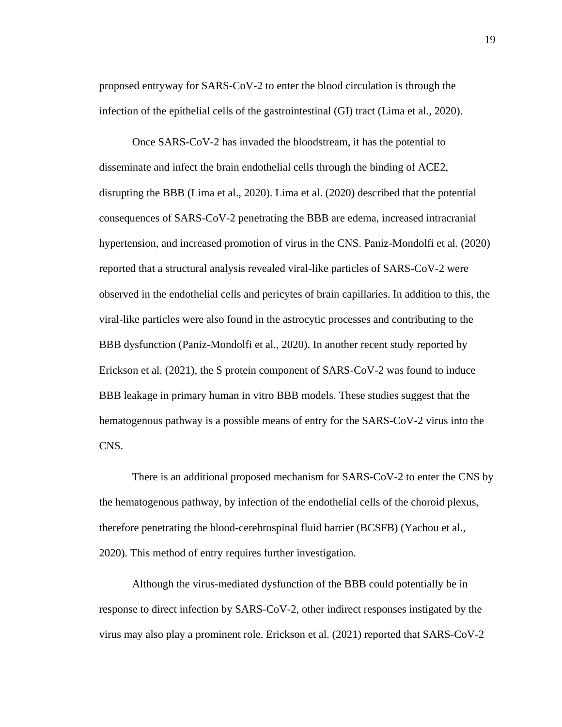proposed entryway for SARS-CoV-2 to enter the blood circulation is through the infection of the epithelial cells of the gastrointestinal (GI) tract (Lima et al., 2020).

Once SARS-CoV-2 has invaded the bloodstream, it has the potential to disseminate and infect the brain endothelial cells through the binding of ACE2, disrupting the BBB (Lima et al., 2020). Lima et al. (2020) described that the potential consequences of SARS-CoV-2 penetrating the BBB are edema, increased intracranial hypertension, and increased promotion of virus in the CNS. Paniz-Mondolfi et al. (2020) reported that a structural analysis revealed viral-like particles of SARS-CoV-2 were observed in the endothelial cells and pericytes of brain capillaries. In addition to this, the viral-like particles were also found in the astrocytic processes and contributing to the BBB dysfunction (Paniz-Mondolfi et al., 2020). In another recent study reported by Erickson et al. (2021), the S protein component of SARS-CoV-2 was found to induce BBB leakage in primary human in vitro BBB models. These studies suggest that the hematogenous pathway is a possible means of entry for the SARS-CoV-2 virus into the CNS.

There is an additional proposed mechanism for SARS-CoV-2 to enter the CNS by the hematogenous pathway, by infection of the endothelial cells of the choroid plexus, therefore penetrating the blood-cerebrospinal fluid barrier (BCSFB) (Yachou et al., 2020). This method of entry requires further investigation.

Although the virus-mediated dysfunction of the BBB could potentially be in response to direct infection by SARS-CoV-2, other indirect responses instigated by the virus may also play a prominent role. Erickson et al. (2021) reported that SARS-CoV-2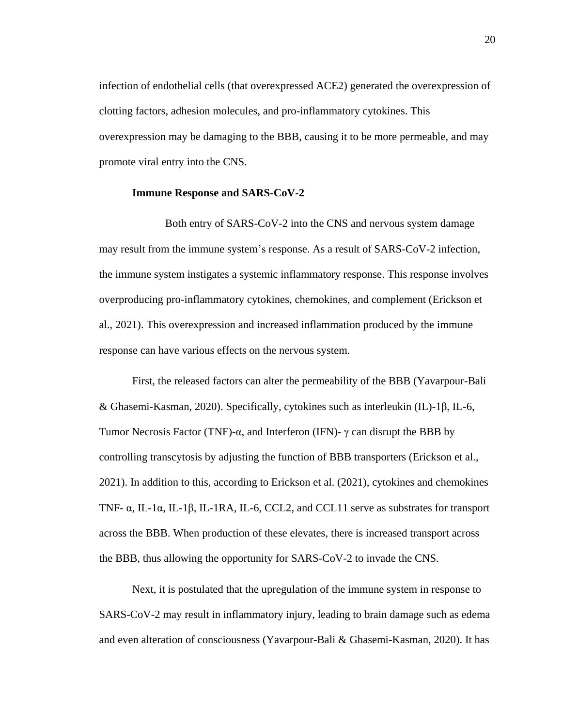infection of endothelial cells (that overexpressed ACE2) generated the overexpression of clotting factors, adhesion molecules, and pro-inflammatory cytokines. This overexpression may be damaging to the BBB, causing it to be more permeable, and may promote viral entry into the CNS.

#### **Immune Response and SARS-CoV-2**

Both entry of SARS-CoV-2 into the CNS and nervous system damage may result from the immune system's response. As a result of SARS-CoV-2 infection, the immune system instigates a systemic inflammatory response. This response involves overproducing pro-inflammatory cytokines, chemokines, and complement (Erickson et al., 2021). This overexpression and increased inflammation produced by the immune response can have various effects on the nervous system.

First, the released factors can alter the permeability of the BBB (Yavarpour-Bali & Ghasemi-Kasman, 2020). Specifically, cytokines such as interleukin (IL)-1β, IL-6, Tumor Necrosis Factor (TNF)- $\alpha$ , and Interferon (IFN)- $\gamma$  can disrupt the BBB by controlling transcytosis by adjusting the function of BBB transporters (Erickson et al., 2021). In addition to this, according to Erickson et al. (2021), cytokines and chemokines TNF-  $\alpha$ , IL-1 $\alpha$ , IL-1 $\beta$ , IL-1RA, IL-6, CCL2, and CCL11 serve as substrates for transport across the BBB. When production of these elevates, there is increased transport across the BBB, thus allowing the opportunity for SARS-CoV-2 to invade the CNS.

Next, it is postulated that the upregulation of the immune system in response to SARS-CoV-2 may result in inflammatory injury, leading to brain damage such as edema and even alteration of consciousness (Yavarpour-Bali & Ghasemi-Kasman, 2020). It has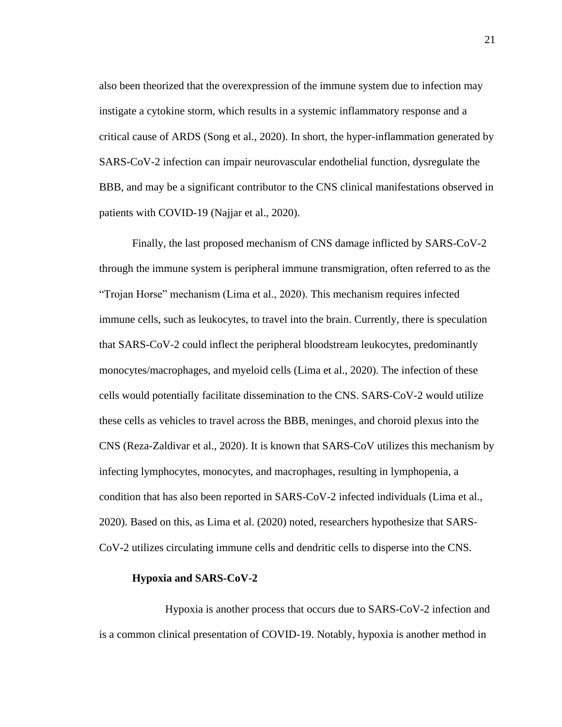also been theorized that the overexpression of the immune system due to infection may instigate a cytokine storm, which results in a systemic inflammatory response and a critical cause of ARDS (Song et al., 2020). In short, the hyper-inflammation generated by SARS-CoV-2 infection can impair neurovascular endothelial function, dysregulate the BBB, and may be a significant contributor to the CNS clinical manifestations observed in patients with COVID-19 (Najjar et al., 2020).

Finally, the last proposed mechanism of CNS damage inflicted by SARS-CoV-2 through the immune system is peripheral immune transmigration, often referred to as the "Trojan Horse" mechanism (Lima et al., 2020). This mechanism requires infected immune cells, such as leukocytes, to travel into the brain. Currently, there is speculation that SARS-CoV-2 could inflect the peripheral bloodstream leukocytes, predominantly monocytes/macrophages, and myeloid cells (Lima et al., 2020). The infection of these cells would potentially facilitate dissemination to the CNS. SARS-CoV-2 would utilize these cells as vehicles to travel across the BBB, meninges, and choroid plexus into the CNS (Reza-Zaldivar et al., 2020). It is known that SARS-CoV utilizes this mechanism by infecting lymphocytes, monocytes, and macrophages, resulting in lymphopenia, a condition that has also been reported in SARS-CoV-2 infected individuals (Lima et al., 2020). Based on this, as Lima et al. (2020) noted, researchers hypothesize that SARS-CoV-2 utilizes circulating immune cells and dendritic cells to disperse into the CNS.

#### **Hypoxia and SARS-CoV-2**

Hypoxia is another process that occurs due to SARS-CoV-2 infection and is a common clinical presentation of COVID-19. Notably, hypoxia is another method in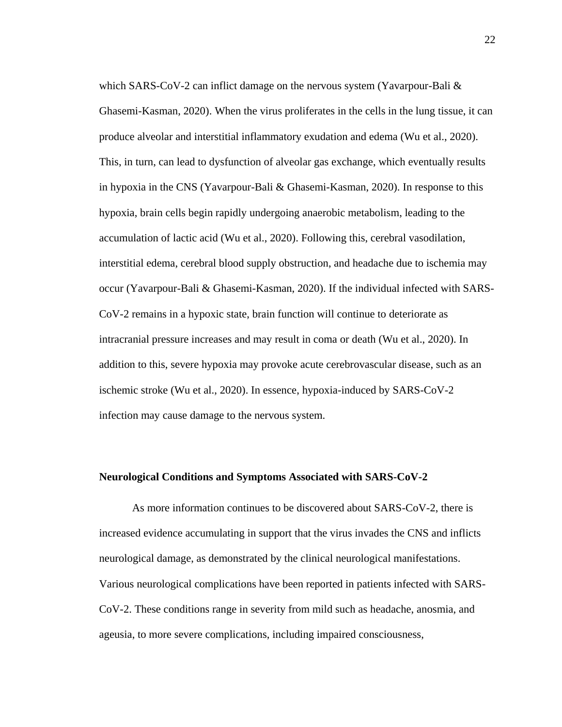which SARS-CoV-2 can inflict damage on the nervous system (Yavarpour-Bali & Ghasemi-Kasman, 2020). When the virus proliferates in the cells in the lung tissue, it can produce alveolar and interstitial inflammatory exudation and edema (Wu et al., 2020). This, in turn, can lead to dysfunction of alveolar gas exchange, which eventually results in hypoxia in the CNS (Yavarpour-Bali & Ghasemi-Kasman, 2020). In response to this hypoxia, brain cells begin rapidly undergoing anaerobic metabolism, leading to the accumulation of lactic acid (Wu et al., 2020). Following this, cerebral vasodilation, interstitial edema, cerebral blood supply obstruction, and headache due to ischemia may occur (Yavarpour-Bali & Ghasemi-Kasman, 2020). If the individual infected with SARS-CoV-2 remains in a hypoxic state, brain function will continue to deteriorate as intracranial pressure increases and may result in coma or death (Wu et al., 2020). In addition to this, severe hypoxia may provoke acute cerebrovascular disease, such as an ischemic stroke (Wu et al., 2020). In essence, hypoxia-induced by SARS-CoV-2 infection may cause damage to the nervous system.

### **Neurological Conditions and Symptoms Associated with SARS-CoV-2**

As more information continues to be discovered about SARS-CoV-2, there is increased evidence accumulating in support that the virus invades the CNS and inflicts neurological damage, as demonstrated by the clinical neurological manifestations. Various neurological complications have been reported in patients infected with SARS-CoV-2. These conditions range in severity from mild such as headache, anosmia, and ageusia, to more severe complications, including impaired consciousness,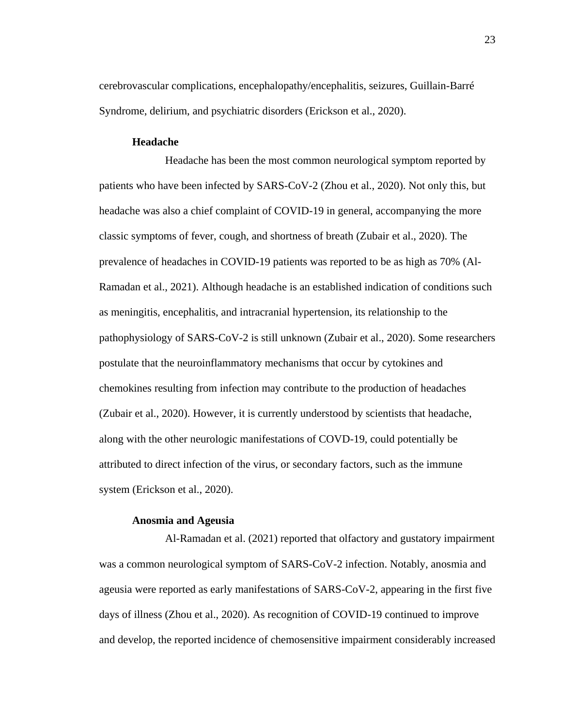cerebrovascular complications, encephalopathy/encephalitis, seizures, Guillain-Barré Syndrome, delirium, and psychiatric disorders (Erickson et al., 2020).

## **Headache**

Headache has been the most common neurological symptom reported by patients who have been infected by SARS-CoV-2 (Zhou et al., 2020). Not only this, but headache was also a chief complaint of COVID-19 in general, accompanying the more classic symptoms of fever, cough, and shortness of breath (Zubair et al., 2020). The prevalence of headaches in COVID-19 patients was reported to be as high as 70% (Al-Ramadan et al., 2021). Although headache is an established indication of conditions such as meningitis, encephalitis, and intracranial hypertension, its relationship to the pathophysiology of SARS-CoV-2 is still unknown (Zubair et al., 2020). Some researchers postulate that the neuroinflammatory mechanisms that occur by cytokines and chemokines resulting from infection may contribute to the production of headaches (Zubair et al., 2020). However, it is currently understood by scientists that headache, along with the other neurologic manifestations of COVD-19, could potentially be attributed to direct infection of the virus, or secondary factors, such as the immune system (Erickson et al., 2020).

#### **Anosmia and Ageusia**

Al-Ramadan et al. (2021) reported that olfactory and gustatory impairment was a common neurological symptom of SARS-CoV-2 infection. Notably, anosmia and ageusia were reported as early manifestations of SARS-CoV-2, appearing in the first five days of illness (Zhou et al., 2020). As recognition of COVID-19 continued to improve and develop, the reported incidence of chemosensitive impairment considerably increased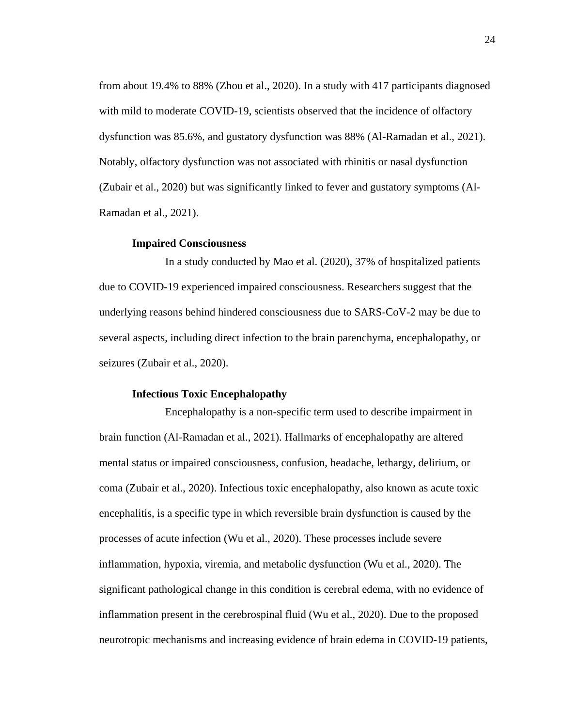from about 19.4% to 88% (Zhou et al., 2020). In a study with 417 participants diagnosed with mild to moderate COVID-19, scientists observed that the incidence of olfactory dysfunction was 85.6%, and gustatory dysfunction was 88% (Al-Ramadan et al., 2021). Notably, olfactory dysfunction was not associated with rhinitis or nasal dysfunction (Zubair et al., 2020) but was significantly linked to fever and gustatory symptoms (Al-Ramadan et al., 2021).

#### **Impaired Consciousness**

In a study conducted by Mao et al. (2020), 37% of hospitalized patients due to COVID-19 experienced impaired consciousness. Researchers suggest that the underlying reasons behind hindered consciousness due to SARS-CoV-2 may be due to several aspects, including direct infection to the brain parenchyma, encephalopathy, or seizures (Zubair et al., 2020).

#### **Infectious Toxic Encephalopathy**

Encephalopathy is a non-specific term used to describe impairment in brain function (Al-Ramadan et al., 2021). Hallmarks of encephalopathy are altered mental status or impaired consciousness, confusion, headache, lethargy, delirium, or coma (Zubair et al., 2020). Infectious toxic encephalopathy, also known as acute toxic encephalitis, is a specific type in which reversible brain dysfunction is caused by the processes of acute infection (Wu et al., 2020). These processes include severe inflammation, hypoxia, viremia, and metabolic dysfunction (Wu et al., 2020). The significant pathological change in this condition is cerebral edema, with no evidence of inflammation present in the cerebrospinal fluid (Wu et al., 2020). Due to the proposed neurotropic mechanisms and increasing evidence of brain edema in COVID-19 patients,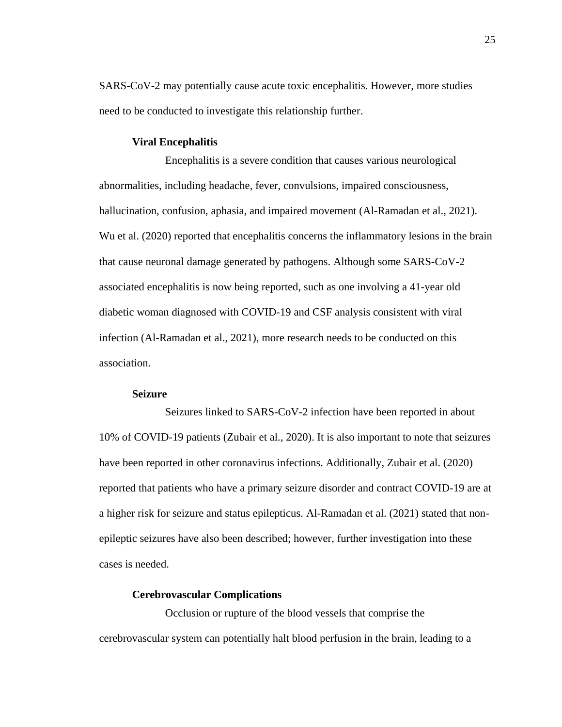SARS-CoV-2 may potentially cause acute toxic encephalitis. However, more studies need to be conducted to investigate this relationship further.

#### **Viral Encephalitis**

Encephalitis is a severe condition that causes various neurological abnormalities, including headache, fever, convulsions, impaired consciousness, hallucination, confusion, aphasia, and impaired movement (Al-Ramadan et al., 2021). Wu et al. (2020) reported that encephalitis concerns the inflammatory lesions in the brain that cause neuronal damage generated by pathogens. Although some SARS-CoV-2 associated encephalitis is now being reported, such as one involving a 41-year old diabetic woman diagnosed with COVID-19 and CSF analysis consistent with viral infection (Al-Ramadan et al., 2021), more research needs to be conducted on this association.

## **Seizure**

Seizures linked to SARS-CoV-2 infection have been reported in about 10% of COVID-19 patients (Zubair et al., 2020). It is also important to note that seizures have been reported in other coronavirus infections. Additionally, Zubair et al. (2020) reported that patients who have a primary seizure disorder and contract COVID-19 are at a higher risk for seizure and status epilepticus. Al-Ramadan et al. (2021) stated that nonepileptic seizures have also been described; however, further investigation into these cases is needed.

#### **Cerebrovascular Complications**

Occlusion or rupture of the blood vessels that comprise the cerebrovascular system can potentially halt blood perfusion in the brain, leading to a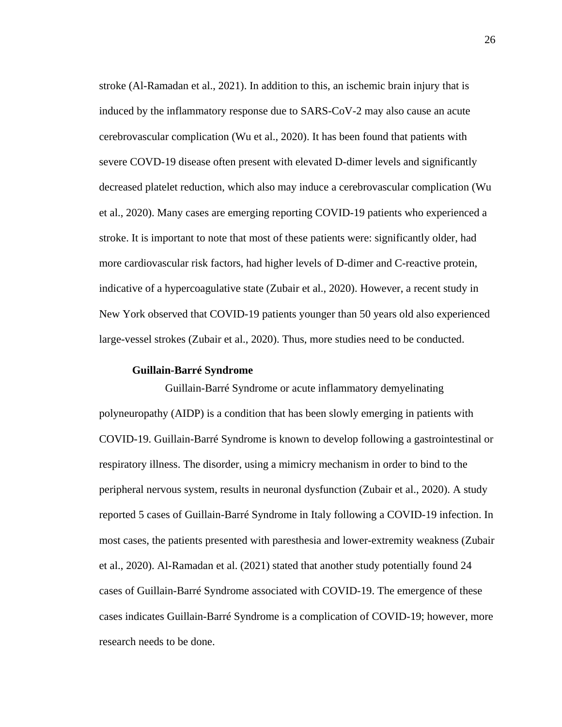stroke (Al-Ramadan et al., 2021). In addition to this, an ischemic brain injury that is induced by the inflammatory response due to SARS-CoV-2 may also cause an acute cerebrovascular complication (Wu et al., 2020). It has been found that patients with severe COVD-19 disease often present with elevated D-dimer levels and significantly decreased platelet reduction, which also may induce a cerebrovascular complication (Wu et al., 2020). Many cases are emerging reporting COVID-19 patients who experienced a stroke. It is important to note that most of these patients were: significantly older, had more cardiovascular risk factors, had higher levels of D-dimer and C-reactive protein, indicative of a hypercoagulative state (Zubair et al., 2020). However, a recent study in New York observed that COVID-19 patients younger than 50 years old also experienced large-vessel strokes (Zubair et al., 2020). Thus, more studies need to be conducted.

#### **Guillain-Barré Syndrome**

Guillain-Barré Syndrome or acute inflammatory demyelinating polyneuropathy (AIDP) is a condition that has been slowly emerging in patients with COVID-19. Guillain-Barré Syndrome is known to develop following a gastrointestinal or respiratory illness. The disorder, using a mimicry mechanism in order to bind to the peripheral nervous system, results in neuronal dysfunction (Zubair et al., 2020). A study reported 5 cases of Guillain-Barré Syndrome in Italy following a COVID-19 infection. In most cases, the patients presented with paresthesia and lower-extremity weakness (Zubair et al., 2020). Al-Ramadan et al. (2021) stated that another study potentially found 24 cases of Guillain-Barré Syndrome associated with COVID-19. The emergence of these cases indicates Guillain-Barré Syndrome is a complication of COVID-19; however, more research needs to be done.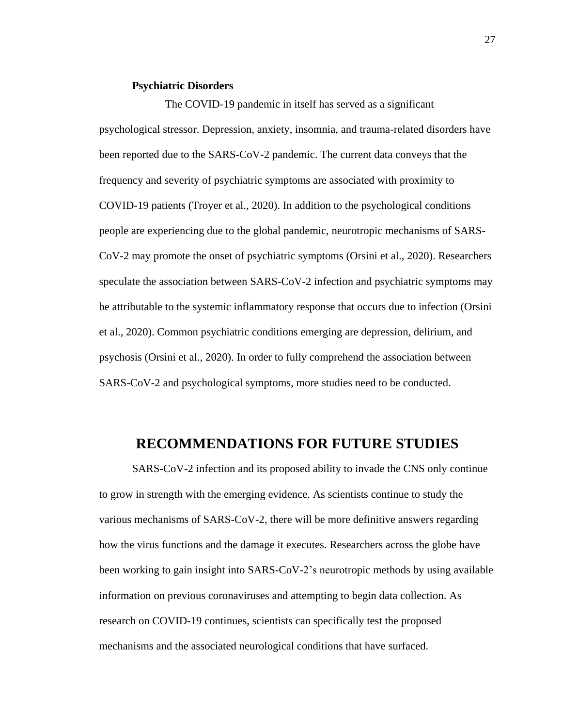## **Psychiatric Disorders**

The COVID-19 pandemic in itself has served as a significant psychological stressor. Depression, anxiety, insomnia, and trauma-related disorders have been reported due to the SARS-CoV-2 pandemic. The current data conveys that the frequency and severity of psychiatric symptoms are associated with proximity to COVID-19 patients (Troyer et al., 2020). In addition to the psychological conditions people are experiencing due to the global pandemic, neurotropic mechanisms of SARS-CoV-2 may promote the onset of psychiatric symptoms (Orsini et al., 2020). Researchers speculate the association between SARS-CoV-2 infection and psychiatric symptoms may be attributable to the systemic inflammatory response that occurs due to infection (Orsini et al., 2020). Common psychiatric conditions emerging are depression, delirium, and psychosis (Orsini et al., 2020). In order to fully comprehend the association between SARS-CoV-2 and psychological symptoms, more studies need to be conducted.

# **RECOMMENDATIONS FOR FUTURE STUDIES**

SARS-CoV-2 infection and its proposed ability to invade the CNS only continue to grow in strength with the emerging evidence. As scientists continue to study the various mechanisms of SARS-CoV-2, there will be more definitive answers regarding how the virus functions and the damage it executes. Researchers across the globe have been working to gain insight into SARS-CoV-2's neurotropic methods by using available information on previous coronaviruses and attempting to begin data collection. As research on COVID-19 continues, scientists can specifically test the proposed mechanisms and the associated neurological conditions that have surfaced.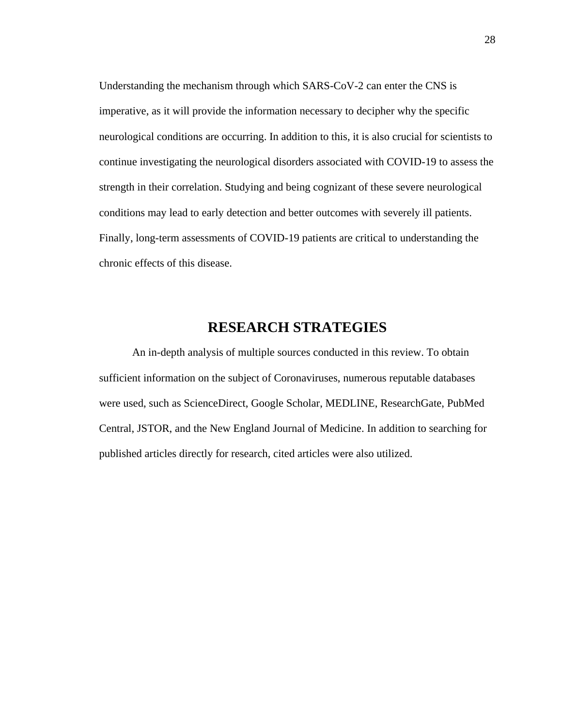Understanding the mechanism through which SARS-CoV-2 can enter the CNS is imperative, as it will provide the information necessary to decipher why the specific neurological conditions are occurring. In addition to this, it is also crucial for scientists to continue investigating the neurological disorders associated with COVID-19 to assess the strength in their correlation. Studying and being cognizant of these severe neurological conditions may lead to early detection and better outcomes with severely ill patients. Finally, long-term assessments of COVID-19 patients are critical to understanding the chronic effects of this disease.

# **RESEARCH STRATEGIES**

An in-depth analysis of multiple sources conducted in this review. To obtain sufficient information on the subject of Coronaviruses, numerous reputable databases were used, such as ScienceDirect, Google Scholar, MEDLINE, ResearchGate, PubMed Central, JSTOR, and the New England Journal of Medicine. In addition to searching for published articles directly for research, cited articles were also utilized.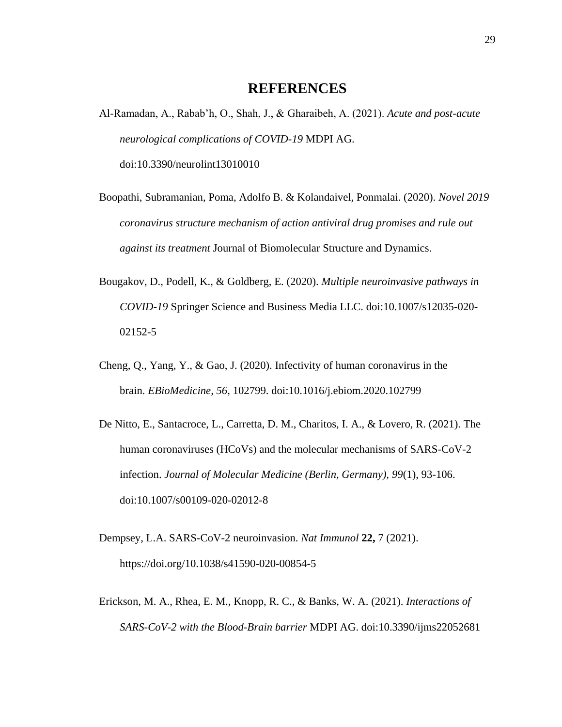# **REFERENCES**

- Al-Ramadan, A., Rabab'h, O., Shah, J., & Gharaibeh, A. (2021). *Acute and post-acute neurological complications of COVID-19* MDPI AG. doi:10.3390/neurolint13010010
- Boopathi, Subramanian, Poma, Adolfo B. & Kolandaivel, Ponmalai. (2020). *Novel 2019 coronavirus structure mechanism of action antiviral drug promises and rule out against its treatment* Journal of Biomolecular Structure and Dynamics.
- Bougakov, D., Podell, K., & Goldberg, E. (2020). *Multiple neuroinvasive pathways in COVID-19* Springer Science and Business Media LLC. doi:10.1007/s12035-020- 02152-5
- Cheng, Q., Yang, Y., & Gao, J. (2020). Infectivity of human coronavirus in the brain. *EBioMedicine, 56*, 102799. doi:10.1016/j.ebiom.2020.102799
- De Nitto, E., Santacroce, L., Carretta, D. M., Charitos, I. A., & Lovero, R. (2021). The human coronaviruses (HCoVs) and the molecular mechanisms of SARS-CoV-2 infection. *Journal of Molecular Medicine (Berlin, Germany), 99*(1), 93-106. doi:10.1007/s00109-020-02012-8
- Dempsey, L.A. SARS-CoV-2 neuroinvasion. *Nat Immunol* **22,** 7 (2021). https://doi.org/10.1038/s41590-020-00854-5
- Erickson, M. A., Rhea, E. M., Knopp, R. C., & Banks, W. A. (2021). *Interactions of SARS-CoV-2 with the Blood-Brain barrier* MDPI AG. doi:10.3390/ijms22052681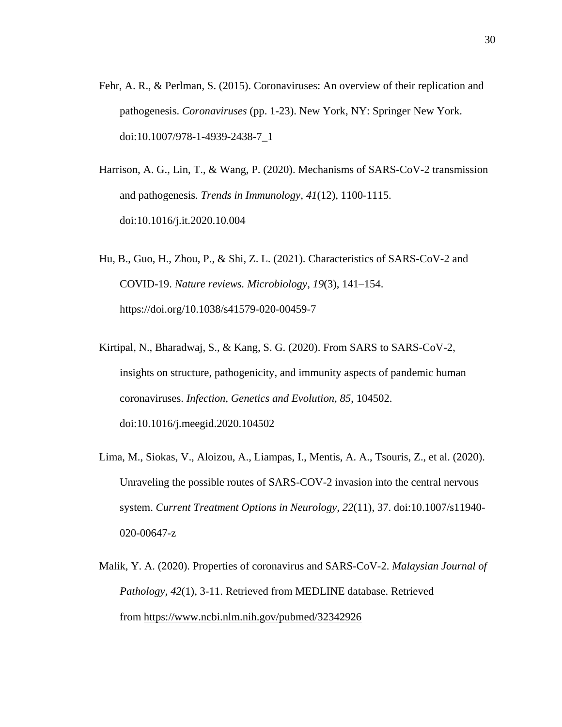- Fehr, A. R., & Perlman, S. (2015). Coronaviruses: An overview of their replication and pathogenesis. *Coronaviruses* (pp. 1-23). New York, NY: Springer New York. doi:10.1007/978-1-4939-2438-7\_1
- Harrison, A. G., Lin, T., & Wang, P. (2020). Mechanisms of SARS-CoV-2 transmission and pathogenesis. *Trends in Immunology, 41*(12), 1100-1115. doi:10.1016/j.it.2020.10.004
- Hu, B., Guo, H., Zhou, P., & Shi, Z. L. (2021). Characteristics of SARS-CoV-2 and COVID-19. *Nature reviews. Microbiology*, *19*(3), 141–154. https://doi.org/10.1038/s41579-020-00459-7
- Kirtipal, N., Bharadwaj, S., & Kang, S. G. (2020). From SARS to SARS-CoV-2, insights on structure, pathogenicity, and immunity aspects of pandemic human coronaviruses. *Infection, Genetics and Evolution, 85*, 104502. doi:10.1016/j.meegid.2020.104502
- Lima, M., Siokas, V., Aloizou, A., Liampas, I., Mentis, A. A., Tsouris, Z., et al. (2020). Unraveling the possible routes of SARS-COV-2 invasion into the central nervous system. *Current Treatment Options in Neurology, 22*(11), 37. doi:10.1007/s11940- 020-00647-z
- Malik, Y. A. (2020). Properties of coronavirus and SARS-CoV-2. *Malaysian Journal of Pathology, 42*(1), 3-11. Retrieved from MEDLINE database. Retrieved from <https://www.ncbi.nlm.nih.gov/pubmed/32342926>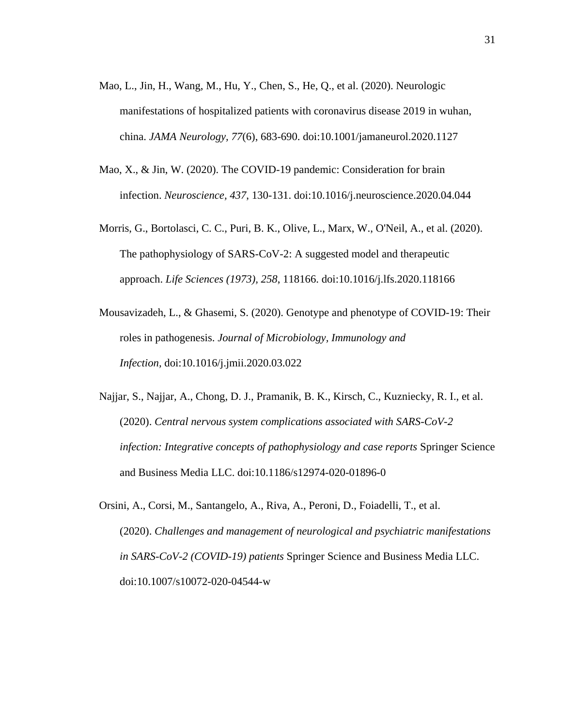- Mao, L., Jin, H., Wang, M., Hu, Y., Chen, S., He, Q., et al. (2020). Neurologic manifestations of hospitalized patients with coronavirus disease 2019 in wuhan, china. *JAMA Neurology, 77*(6), 683-690. doi:10.1001/jamaneurol.2020.1127
- Mao, X., & Jin, W. (2020). The COVID-19 pandemic: Consideration for brain infection. *Neuroscience, 437*, 130-131. doi:10.1016/j.neuroscience.2020.04.044
- Morris, G., Bortolasci, C. C., Puri, B. K., Olive, L., Marx, W., O'Neil, A., et al. (2020). The pathophysiology of SARS-CoV-2: A suggested model and therapeutic approach. *Life Sciences (1973), 258*, 118166. doi:10.1016/j.lfs.2020.118166
- Mousavizadeh, L., & Ghasemi, S. (2020). Genotype and phenotype of COVID-19: Their roles in pathogenesis. *Journal of Microbiology, Immunology and Infection,* doi:10.1016/j.jmii.2020.03.022
- Najjar, S., Najjar, A., Chong, D. J., Pramanik, B. K., Kirsch, C., Kuzniecky, R. I., et al. (2020). *Central nervous system complications associated with SARS-CoV-2 infection: Integrative concepts of pathophysiology and case reports* Springer Science and Business Media LLC. doi:10.1186/s12974-020-01896-0
- Orsini, A., Corsi, M., Santangelo, A., Riva, A., Peroni, D., Foiadelli, T., et al. (2020). *Challenges and management of neurological and psychiatric manifestations in SARS-CoV-2 (COVID-19) patients* Springer Science and Business Media LLC. doi:10.1007/s10072-020-04544-w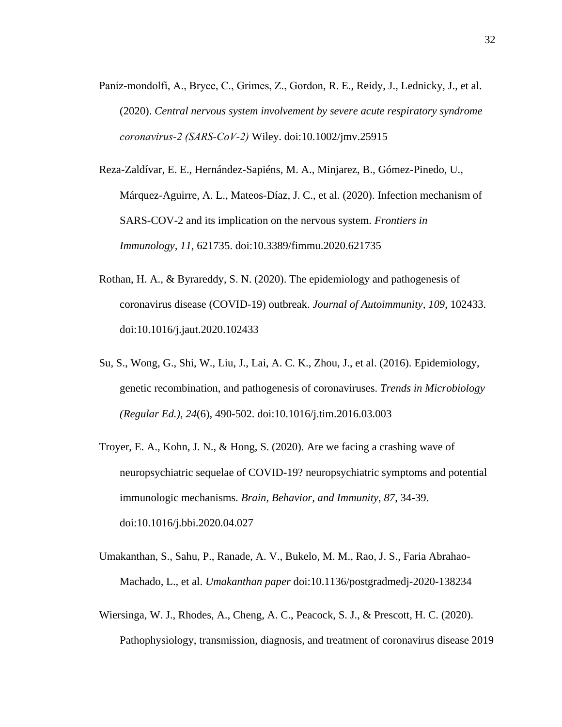- Paniz‐mondolfi, A., Bryce, C., Grimes, Z., Gordon, R. E., Reidy, J., Lednicky, J., et al. (2020). *Central nervous system involvement by severe acute respiratory syndrome coronavirus‐2 (SARS‐CoV‐2)* Wiley. doi:10.1002/jmv.25915
- Reza-Zaldívar, E. E., Hernández-Sapiéns, M. A., Minjarez, B., Gómez-Pinedo, U., Márquez-Aguirre, A. L., Mateos-Díaz, J. C., et al. (2020). Infection mechanism of SARS-COV-2 and its implication on the nervous system. *Frontiers in Immunology, 11*, 621735. doi:10.3389/fimmu.2020.621735
- Rothan, H. A., & Byrareddy, S. N. (2020). The epidemiology and pathogenesis of coronavirus disease (COVID-19) outbreak. *Journal of Autoimmunity, 109*, 102433. doi:10.1016/j.jaut.2020.102433
- Su, S., Wong, G., Shi, W., Liu, J., Lai, A. C. K., Zhou, J., et al. (2016). Epidemiology, genetic recombination, and pathogenesis of coronaviruses. *Trends in Microbiology (Regular Ed.), 24*(6), 490-502. doi:10.1016/j.tim.2016.03.003
- Troyer, E. A., Kohn, J. N., & Hong, S. (2020). Are we facing a crashing wave of neuropsychiatric sequelae of COVID-19? neuropsychiatric symptoms and potential immunologic mechanisms. *Brain, Behavior, and Immunity, 87*, 34-39. doi:10.1016/j.bbi.2020.04.027
- Umakanthan, S., Sahu, P., Ranade, A. V., Bukelo, M. M., Rao, J. S., Faria Abrahao-Machado, L., et al. *Umakanthan paper* doi:10.1136/postgradmedj-2020-138234
- Wiersinga, W. J., Rhodes, A., Cheng, A. C., Peacock, S. J., & Prescott, H. C. (2020). Pathophysiology, transmission, diagnosis, and treatment of coronavirus disease 2019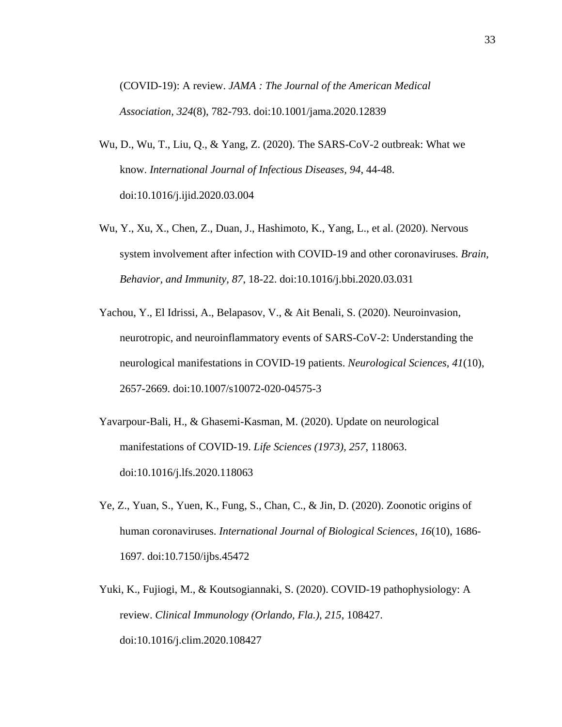(COVID-19): A review. *JAMA : The Journal of the American Medical Association, 324*(8), 782-793. doi:10.1001/jama.2020.12839

- Wu, D., Wu, T., Liu, Q., & Yang, Z. (2020). The SARS-CoV-2 outbreak: What we know. *International Journal of Infectious Diseases, 94*, 44-48. doi:10.1016/j.ijid.2020.03.004
- Wu, Y., Xu, X., Chen, Z., Duan, J., Hashimoto, K., Yang, L., et al. (2020). Nervous system involvement after infection with COVID-19 and other coronaviruses. *Brain, Behavior, and Immunity, 87*, 18-22. doi:10.1016/j.bbi.2020.03.031
- Yachou, Y., El Idrissi, A., Belapasov, V., & Ait Benali, S. (2020). Neuroinvasion, neurotropic, and neuroinflammatory events of SARS-CoV-2: Understanding the neurological manifestations in COVID-19 patients. *Neurological Sciences, 41*(10), 2657-2669. doi:10.1007/s10072-020-04575-3
- Yavarpour-Bali, H., & Ghasemi-Kasman, M. (2020). Update on neurological manifestations of COVID-19. *Life Sciences (1973), 257*, 118063. doi:10.1016/j.lfs.2020.118063
- Ye, Z., Yuan, S., Yuen, K., Fung, S., Chan, C., & Jin, D. (2020). Zoonotic origins of human coronaviruses. *International Journal of Biological Sciences, 16*(10), 1686- 1697. doi:10.7150/ijbs.45472
- Yuki, K., Fujiogi, M., & Koutsogiannaki, S. (2020). COVID-19 pathophysiology: A review. *Clinical Immunology (Orlando, Fla.), 215*, 108427. doi:10.1016/j.clim.2020.108427